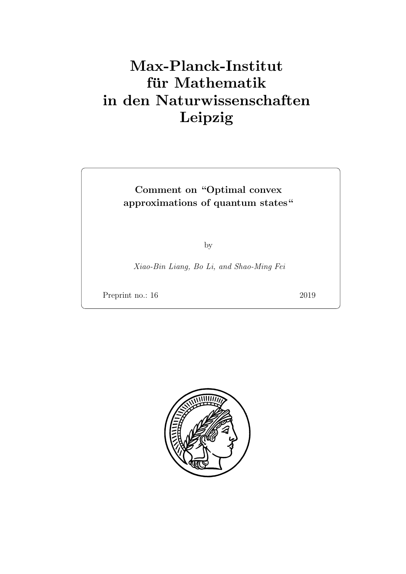## Max-Planck-Institut für Mathematik in den Naturwissenschaften Leipzig

## Comment on "Optimal convex approximations of quantum states"

by

Xiao-Bin Liang, Bo Li, and Shao-Ming Fei

Preprint no.: 16 2019

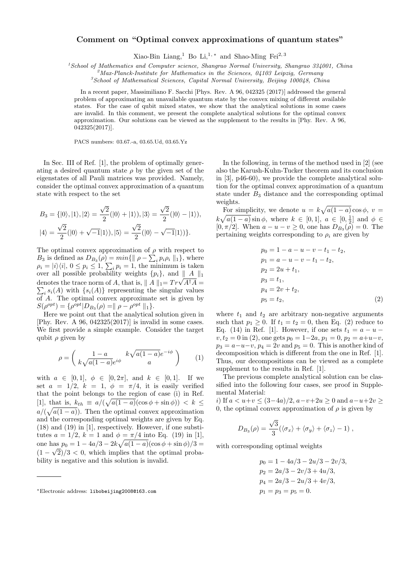## **Comment on "Optimal convex approximations of quantum states"**

Xiao-Bin Liang,<sup>1</sup> Bo Li,<sup>1,\*</sup> and Shao-Ming Fei<sup>2,3</sup>

*<sup>1</sup>School of Mathematics and Computer science, Shangrao Normal University, Shangrao 334001, China*

*<sup>2</sup>Max-Planck-Institute for Mathematics in the Sciences, 04103 Leipzig, Germany*

*<sup>3</sup>School of Mathematical Sciences, Capital Normal University, Beijing 100048, China*

In a recent paper, Massimiliano F. Sacchi [Phys. Rev. A 96, 042325 (2017)] addressed the general problem of approximating an unavailable quantum state by the convex mixing of different available states. For the case of qubit mixed states, we show that the analytical solutions in some cases are invalid. In this comment, we present the complete analytical solutions for the optimal convex approximation. Our solutions can be viewed as the supplement to the results in [Phy. Rev. A 96, 042325(2017)].

PACS numbers: 03.67.-a, 03.65.Ud, 03.65.Yz

In Sec. III of Ref. [1], the problem of optimally generating a desired quantum state  $\rho$  by the given set of the eigenstates of all Pauli matrices was provided. Namely, consider the optimal convex approximation of a quantum state with respect to the set

$$
B_3 = \{|0\rangle, |1\rangle, |2\rangle = \frac{\sqrt{2}}{2}(|0\rangle + |1\rangle), |3\rangle = \frac{\sqrt{2}}{2}(|0\rangle - |1\rangle),
$$
  

$$
|4\rangle = \frac{\sqrt{2}}{2}(|0\rangle + \sqrt{-1}|1\rangle), |5\rangle = \frac{\sqrt{2}}{2}(|0\rangle - \sqrt{-1}|1\rangle).
$$

The optimal convex approximation of  $\rho$  with respect to *B*<sub>3</sub> is defined as  $D_{B_3}(\rho) = min\{\parallel \rho - \sum_i p_i \rho_i \parallel_1\}$ , where  $\rho_i = |i\rangle\langle i|, 0 \leq p_i \leq 1, \sum_i p_i = 1$ , the minimum is taken over all possible probability weights *{pi}*, and *∥ A ∥*<sup>1</sup> denotes the trace norm of *A*, that is,  $|| A ||_1 = Tr\sqrt{A^{\dagger}A} =$  $\sum_i s_i(A)$  with  $\{s_i(A)\}\)$  representing the singular values of *A*. The optimal convex approximate set is given by  $S(\rho^{opt}) = {\rho^{opt}|D_{B_3}(\rho) = || \rho - \rho^{opt} ||_1}.$ 

Here we point out that the analytical solution given in [Phy. Rev. A  $96$ ,  $042325(2017)$ ] is invalid in some cases. We first provide a simple example. Consider the target qubit  $\rho$  given by

$$
\rho = \begin{pmatrix} 1 - a & k\sqrt{a(1 - a)}e^{-i\phi} \\ k\sqrt{a(1 - a)}e^{i\phi} & a \end{pmatrix} \tag{1}
$$

with  $a \in [0, 1], \phi \in [0, 2\pi],$  and  $k \in [0, 1].$  If we set  $a = 1/2$ ,  $k = 1$ ,  $\phi = \pi/4$ , it is easily verified that the point belongs to the region of case (i) in Ref.  $[1]$ , that is,  $k_{th} \equiv a/(\sqrt{a(1-a)}(\cos \phi + \sin \phi)) < k$  $a/(\sqrt{a(1-a)})$ . Then the optimal convex approximation and the corresponding optimal weights are given by Eq. (18) and (19) in [1], respectively. However, if one substitutes  $a = 1/2$ ,  $k = 1$  and  $\phi = \pi/4$  into Eq. (19) in [1], one has  $p_0 = 1 - 4a/3 - 2k\sqrt{a(1 - a)}(\cos \phi + \sin \phi)/3 =$  $(1 - \sqrt{2})/3 < 0$ , which implies that the optimal probability is negative and this solution is invalid.

In the following, in terms of the method used in [2] (see also the Karush-Kuhn-Tucker theorem and its conclusion in [3], p46-60), we provide the complete analytical solution for the optimal convex approximation of a quantum state under *B*<sup>3</sup> distance and the corresponding optimal weights.

For simplicity, we denote  $u = k\sqrt{a(1-a)}\cos\phi$ ,  $v =$  $k\sqrt{a(1-a)}\sin\phi$ , where  $k \in [0,1]$ ,  $a \in [0,\frac{1}{2}]$  and  $\phi \in$  $[0, \pi/2]$ . When  $a - u - v \geq 0$ , one has  $D_{B_3}(\rho) = 0$ . The pertaining weights corresponding to  $\rho_i$  are given by

$$
p_0 = 1 - a - u - v - t_1 - t_2,
$$
  
\n
$$
p_1 = a - u - v - t_1 - t_2,
$$
  
\n
$$
p_2 = 2u + t_1,
$$
  
\n
$$
p_3 = t_1,
$$
  
\n
$$
p_4 = 2v + t_2,
$$
  
\n
$$
p_5 = t_2,
$$
\n(2)

where  $t_1$  and  $t_2$  are arbitrary non-negative arguments such that  $p_1 \geq 0$ . If  $t_1 = t_2 = 0$ , then Eq. (2) reduce to Eq. (14) in Ref. [1]. However, if one sets  $t_1 = a - u$  $v, t_2 = 0$  in (2), one gets  $p_0 = 1 - 2a, p_1 = 0, p_2 = a + u - v$ ,  $p_3 = a - u - v$ ,  $p_4 = 2v$  and  $p_5 = 0$ . This is another kind of decomposition which is different from the one in Ref. [1]. Thus, our decompositions can be viewed as a complete supplement to the results in Ref. [1].

The previous complete analytical solution can be classified into the following four cases, see proof in Supplemental Material:

*i*) If *a < u*+*v ≤* (3*−*4*a*)*/*2, *a−v*+2*u ≥* 0 and *a−u*+2*v ≥* 0, the optimal convex approximation of  $\rho$  is given by

$$
D_{B_3}(\rho)=\frac{\sqrt{3}}{3}(\langle \sigma_x\rangle+\langle \sigma_y\rangle+\langle \sigma_z\rangle-1)\;,
$$

with corresponding optimal weights

$$
p_0 = 1 - 4a/3 - 2u/3 - 2v/3,
$$
  
\n
$$
p_2 = 2a/3 - 2v/3 + 4u/3,
$$
  
\n
$$
p_4 = 2a/3 - 2u/3 + 4v/3,
$$
  
\n
$$
p_1 = p_3 = p_5 = 0.
$$

*<sup>∗</sup>*Electronic address: libobeijing2008@163.com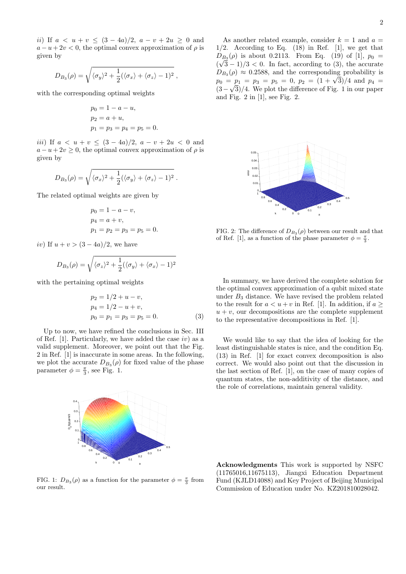*ii*) If  $a < u + v \le (3 - 4a)/2$ ,  $a - v + 2u \ge 0$  and  $a - u + 2v < 0$ , the optimal convex approximation of  $\rho$  is given by

$$
D_{B_3}(\rho) = \sqrt{\langle \sigma_y \rangle^2 + \frac{1}{2} (\langle \sigma_x \rangle + \langle \sigma_z \rangle - 1)^2} ,
$$

with the corresponding optimal weights

$$
p_0 = 1 - a - u,
$$
  
\n
$$
p_2 = a + u,
$$
  
\n
$$
p_1 = p_3 = p_4 = p_5 = 0.
$$

*iii*) If  $a < u + v \leq (3 - 4a)/2$ ,  $a - v + 2u < 0$  and  $a - u + 2v \geq 0$ , the optimal convex approximation of  $\rho$  is given by

$$
D_{B_3}(\rho) = \sqrt{\langle \sigma_x \rangle^2 + \frac{1}{2} (\langle \sigma_y \rangle + \langle \sigma_z \rangle - 1)^2}.
$$

The related optimal weights are given by

$$
p_0 = 1 - a - v,
$$
  
\n
$$
p_4 = a + v,
$$
  
\n
$$
p_1 = p_2 = p_3 = p_5 = 0.
$$

*iv*) If  $u + v > (3 - 4a)/2$ , we have

$$
D_{B_3}(\rho) = \sqrt{\langle \sigma_z \rangle^2 + \frac{1}{2} (\langle \sigma_y \rangle + \langle \sigma_x \rangle - 1)^2}
$$

with the pertaining optimal weights

$$
p_2 = 1/2 + u - v,
$$
  
\n
$$
p_4 = 1/2 - u + v,
$$
  
\n
$$
p_0 = p_1 = p_3 = p_5 = 0.
$$
\n(3)

Up to now, we have refined the conclusions in Sec. III of Ref. [1]. Particularly, we have added the case *iv*) as a valid supplement. Moreover, we point out that the Fig. 2 in Ref. [1] is inaccurate in some areas. In the following, we plot the accurate  $D_{B_3}(\rho)$  for fixed value of the phase parameter  $\phi = \frac{\pi}{3}$ , see Fig. 1.



FIG. 1:  $D_{B_3}(\rho)$  as a function for the parameter  $\phi = \frac{\pi}{3}$  from our result.

As another related example, consider  $k = 1$  and  $a =$  $1/2$ . According to Eq.  $(18)$  in Ref.  $[1]$ , we get that  $D_{B_3}(\rho)$  is about 0.2113. From Eq. (19) of [1],  $p_0 =$  $(\sqrt{3}-1)/3$  < 0. In fact, according to (3), the accurate  $D_{B_3}(\rho) \approx 0.2588$ , and the corresponding probability is  $p_0 = p_1 = p_3 = p_5 = 0, p_2 = (1 + \sqrt{3})/4$  and  $p_4 = \sqrt{3}/4$  and  $p_5 = \sqrt{3}/4$  and  $p_6 = \sqrt{3}/4$  and  $p_7 = \sqrt{3}/4$  and  $p_8 = \sqrt{3}/4$  and  $p_9 = \sqrt{3}/4$  and  $p_1 = \sqrt{3}/4$  and  $p_8 = \sqrt{3}/4$  and  $p_9 = \sqrt{3}/4$  and  $p_1 = \sqrt{3}/4$  and  $p_1 = \sqrt{3}/4$ (3*−* 3)*/*4. We plot the difference of Fig. 1 in our paper and Fig. 2 in [1], see Fig. 2.



FIG. 2: The difference of  $D_{B_3}(\rho)$  between our result and that of Ref. [1], as a function of the phase parameter  $\phi = \frac{\pi}{3}$ .

In summary, we have derived the complete solution for the optimal convex approximation of a qubit mixed state under  $B_3$  distance. We have revised the problem related to the result for  $a < u + v$  in Ref. [1]. In addition, if  $a \geq$  $u + v$ , our decompositions are the complete supplement to the representative decompositions in Ref. [1].

We would like to say that the idea of looking for the least distinguishable states is nice, and the condition Eq. (13) in Ref. [1] for exact convex decomposition is also correct. We would also point out that the discussion in the last section of Ref. [1], on the case of many copies of quantum states, the non-additivity of the distance, and the role of correlations, maintain general validity.

**Acknowledgments** This work is supported by NSFC (11765016,11675113), Jiangxi Education Department Fund (KJLD14088) and Key Project of Beijing Municipal Commission of Education under No. KZ201810028042.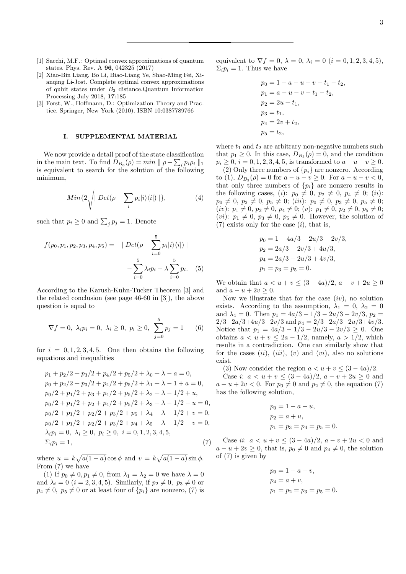- [1] Sacchi, M.F.: Optimal convex approximations of quantum states. Phys. Rev. A **96**, 042325 (2017)
- [2] Xiao-Bin Liang, Bo Li, Biao-Liang Ye, Shao-Ming Fei, Xianqing Li-Jost. Complete optimal convex approximations of qubit states under *B*<sup>2</sup> distance.Quantum Information Processing July 2018, **17**:185
- [3] Forst, W., Hoffmann, D.: Optimization-Theory and Practice. Springer, New York (2010). ISBN 10:0387789766

## **I. SUPPLEMENTAL MATERIAL**

We now provide a detail proof of the state classification in the main text. To find  $D_{B_3}(\rho) = min \|\rho - \sum_i p_i \rho_i\|_1$ is equivalent to search for the solution of the following minimum,

$$
Min\{2\sqrt{\left| \, Det(\rho - \sum_{i} p_i|i\rangle\langle i|) \, \right|} \},\tag{4}
$$

such that  $p_i \geq 0$  and  $\sum_j p_j = 1$ . Denote

$$
f(p_0, p_1, p_2, p_3, p_4, p_5) = |Det(\rho - \sum_{i=0}^{5} p_i |i\rangle\langle i|)|
$$

$$
-\sum_{i=0}^{5} \lambda_i p_i - \lambda \sum_{i=0}^{5} p_i.
$$
 (5)

According to the Karush-Kuhn-Tucker Theorem [3] and the related conclusion (see page 46-60 in [3]), the above question is equal to

$$
\nabla f = 0, \ \lambda_i p_i = 0, \ \lambda_i \ge 0, \ p_i \ge 0, \ \sum_{j=0}^{5} p_j = 1
$$
 (6)

for  $i = 0, 1, 2, 3, 4, 5$ . One then obtains the following equations and inequalities

$$
p_1 + p_2/2 + p_3/2 + p_4/2 + p_5/2 + \lambda_0 + \lambda - a = 0,
$$
  
\n
$$
p_0 + p_2/2 + p_3/2 + p_4/2 + p_5/2 + \lambda_1 + \lambda - 1 + a = 0,
$$
  
\n
$$
p_0/2 + p_1/2 + p_3 + p_4/2 + p_5/2 + \lambda_2 + \lambda - 1/2 + u,
$$
  
\n
$$
p_0/2 + p_1/2 + p_2 + p_4/2 + p_5/2 + \lambda_3 + \lambda - 1/2 - u = 0,
$$
  
\n
$$
p_0/2 + p_1/2 + p_2/2 + p_3/2 + p_5 + \lambda_4 + \lambda - 1/2 + v = 0,
$$
  
\n
$$
p_0/2 + p_1/2 + p_2/2 + p_3/2 + p_4 + \lambda_5 + \lambda - 1/2 - v = 0,
$$
  
\n
$$
\lambda_i p_i = 0, \ \lambda_i \ge 0, \ p_i \ge 0, \ i = 0, 1, 2, 3, 4, 5,
$$
  
\n
$$
\Sigma_i p_i = 1,
$$
  
\n(7)

where  $u = k\sqrt{a(1-a)}\cos\phi$  and  $v = k\sqrt{a(1-a)}\sin\phi$ . From (7) we have

(1) If  $p_0 \neq 0, p_1 \neq 0$ , from  $\lambda_1 = \lambda_2 = 0$  we have  $\lambda = 0$ and  $\lambda_i = 0$  (*i* = 2, 3, 4, 5). Similarly, if  $p_2 \neq 0$ ,  $p_3 \neq 0$  or  $p_4 \neq 0$ ,  $p_5 \neq 0$  or at least four of  $\{p_i\}$  are nonzero, (7) is

equivalent to  $\nabla f = 0$ ,  $\lambda = 0$ ,  $\lambda_i = 0$  (*i* = 0, 1, 2, 3, 4, 5),  $\Sigma_i p_i = 1$ . Thus we have

$$
p_0 = 1 - a - u - v - t_1 - t_2,
$$
  
\n
$$
p_1 = a - u - v - t_1 - t_2,
$$
  
\n
$$
p_2 = 2u + t_1,
$$
  
\n
$$
p_3 = t_1,
$$
  
\n
$$
p_4 = 2v + t_2,
$$
  
\n
$$
p_5 = t_2,
$$

where  $t_1$  and  $t_2$  are arbitrary non-negative numbers such that  $p_1 \geq 0$ . In this case,  $D_{B_3}(\rho) = 0$ , and the condition  $p_i \geq 0$ ,  $i = 0, 1, 2, 3, 4, 5$ , is transformed to  $a - u - v \geq 0$ .

(2) Only three numbers of  $\{p_i\}$  are nonzero. According  $\text{to } (1), D_{B_3}(\rho) = 0 \text{ for } a - u - v \ge 0. \text{ For } a - u - v < 0,$ that only three numbers of  $\{p_i\}$  are nonzero results in the following cases, (*i*):  $p_0 \neq 0$ ,  $p_2 \neq 0$ ,  $p_4 \neq 0$ ; (*ii*):  $p_0 \neq 0, p_2 \neq 0, p_5 \neq 0; (iii): p_0 \neq 0, p_3 \neq 0, p_5 \neq 0;$  $(iv): p_1 \neq 0, p_2 \neq 0, p_4 \neq 0; (v): p_1 \neq 0, p_2 \neq 0, p_5 \neq 0;$ (*vi*):  $p_1 \neq 0$ ,  $p_3 \neq 0$ ,  $p_5 \neq 0$ . However, the solution of (7) exists only for the case (*i*), that is,

$$
p_0 = 1 - 4a/3 - 2u/3 - 2v/3,
$$
  
\n
$$
p_2 = 2a/3 - 2v/3 + 4u/3,
$$
  
\n
$$
p_4 = 2a/3 - 2u/3 + 4v/3,
$$
  
\n
$$
p_1 = p_3 = p_5 = 0.
$$

We obtain that  $a < u + v < (3 - 4a)/2$ ,  $a - v + 2u > 0$ and  $a - u + 2v \geq 0$ .

Now we illustrate that for the case (*iv*), no solution exists. According to the assumption,  $\lambda_1 = 0$ ,  $\lambda_2 = 0$ and  $\lambda_4 = 0$ . Then  $p_1 = 4a/3 - 1/3 - 2u/3 - 2v/3$ ,  $p_2 =$ 2*/*3*−*2*a/*3+4*u/*3*−*2*v/*3 and *p*<sup>4</sup> = 2*/*3*−*2*a/*3*−*2*u/*3+4*v/*3. Notice that  $p_1 = 4a/3 - 1/3 - 2u/3 - 2v/3 \geq 0$ . One obtains  $a < u + v \leq 2a - 1/2$ , namely,  $a > 1/2$ , which results in a contradiction. One can similarly show that for the cases (*ii*), (*iii*), (*v*) and (*vi*), also no solutions exist.

(3) Now consider the region  $a < u + v \leq (3 - 4a)/2$ . Case *i*: *a* < *u* + *v* ≤  $(3 - 4a)/2$ , *a* − *v* + 2*u* ≥ 0 and *a* − *u* + 2*v* < 0. For  $p_0 \neq 0$  and  $p_2 \neq 0$ , the equation (7) has the following solution,

$$
p_0 = 1 - a - u,
$$
  
\n
$$
p_2 = a + u,
$$
  
\n
$$
p_1 = p_3 = p_4 = p_5 = 0.
$$

Case *ii*: *a* < *u* + *v* ≤  $(3 - 4a)/2$ , *a* − *v* + 2*u* < 0 and  $a - u + 2v \geq 0$ , that is,  $p_0 \neq 0$  and  $p_4 \neq 0$ , the solution of (7) is given by

$$
p_0 = 1 - a - v,
$$
  
\n
$$
p_4 = a + v,
$$
  
\n
$$
p_1 = p_2 = p_3 = p_5 = 0.
$$